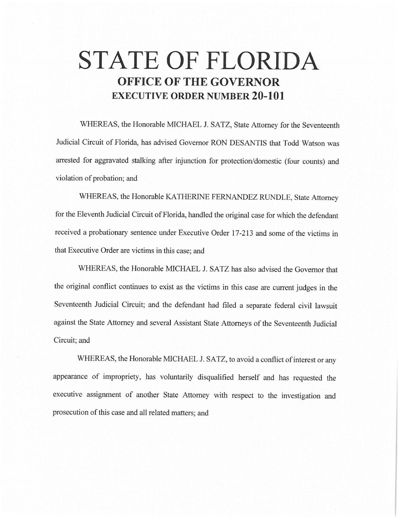## **STATE OF FLORIDA OFFICE OF THE GOVERNOR EXECUTIVE ORDER NUMBER 20-101**

WHEREAS, the Honorable MICHAEL J. SATZ, State Attorney for the Seventeenth Judicial Circuit of Florida, has advised Governor RON DESANTIS that Todd Watson was arrested for aggravated stalking after injunction for protection/domestic (four counts) and violation of probation; and

WHEREAS, the Honorable KA THERINE FERNANDEZ RUNDLE, State Attorney for the Eleventh Judicial Circuit of Florida, handled the original case for which the defendant received a probationary sentence under Executive Order 17-213 and some of the victims in that Executive Order are victims in this case; and

WHEREAS, the Honorable MICHAEL J. SATZ has also advised the Governor that the original conflict continues to exist as the victims in this case are current judges in the Seventeenth Judicial Circuit; and the defendant had filed a separate federal civil lawsuit against the State Attorney and several Assistant State Attorneys of the Seventeenth Judicial Circuit; and

WHEREAS, the Honorable MICHAEL J. SATZ, to avoid a conflict of interest or any appearance of impropriety, has voluntarily disqualified herself and has requested the executive assignment of another State Attorney with respect to the investigation and prosecution of this case and all related matters; and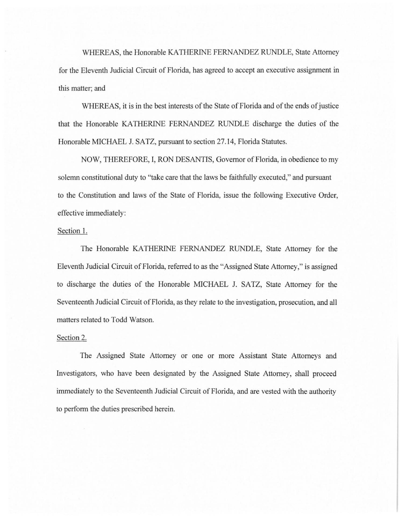WHEREAS, the Honorable KATHERINE FERNANDEZ RUNDLE, State Attorney for the Eleventh Judicial Circuit of Florida, has agreed to accept an executive assignment in this matter; and

WHEREAS, it is in the best interests of the State of Florida and of the ends of justice that the Honorable KATHERINE FERNANDEZ RUNDLE discharge the duties of the Honorable MICHAEL J. SATZ, pursuant to section 27 .14, Florida Statutes.

NOW, THEREFORE, I, RON DESANTIS, Governor of Florida, in obedience to my solemn constitutional duty to "take care that the laws be faithfully executed," and pursuant to the Constitution and laws of the State of Florida, issue the following Executive Order, effective immediately:

## Section 1.

The Honorable KATHERINE FERNANDEZ RUNDLE, State Attorney for the Eleventh Judicial Circuit of Florida, referred to as the "Assigned State Attorney," is assigned to discharge the duties of the Honorable MICHAEL J. SATZ, State Attorney for the Seventeenth Judicial Circuit of Florida, as they relate to the investigation, prosecution, and all matters related to Todd Watson.

## Section 2.

The Assigned State Attorney or one or more Assistant State Attorneys and Investigators, who have been designated by the Assigned State Attorney, shall proceed immediately to the Seventeenth Judicial Circuit of Florida, and are vested with the authority to perform the duties prescribed herein.